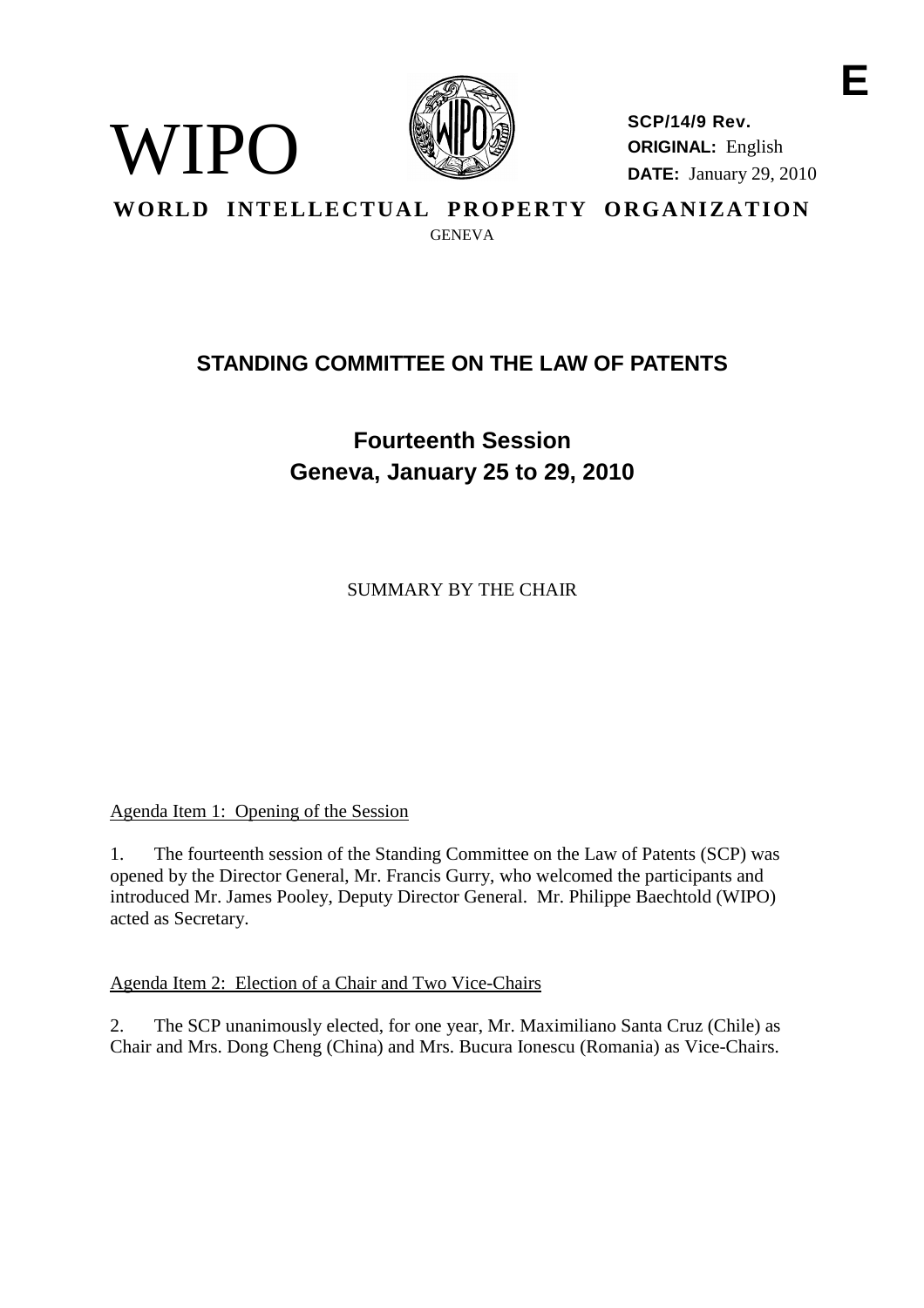

**SCP/14/9 Rev. ORIGINAL:** English **DATE:** January 29, 2010 **E**

**WORLD INTELLECTUAL PROPERTY ORGANIZATION**

**GENEVA** 

# **STANDING COMMITTEE ON THE LAW OF PATENTS**

**Fourteenth Session Geneva, January 25 to 29, 2010**

SUMMARY BY THE CHAIR

Agenda Item 1: Opening of the Session

 $I<sub>H</sub>()$ 

1. The fourteenth session of the Standing Committee on the Law of Patents (SCP) was opened by the Director General, Mr. Francis Gurry, who welcomed the participants and introduced Mr. James Pooley, Deputy Director General. Mr. Philippe Baechtold (WIPO) acted as Secretary.

Agenda Item 2: Election of a Chair and Two Vice-Chairs

2. The SCP unanimously elected, for one year, Mr. Maximiliano Santa Cruz (Chile) as Chair and Mrs. Dong Cheng (China) and Mrs. Bucura Ionescu (Romania) as Vice-Chairs.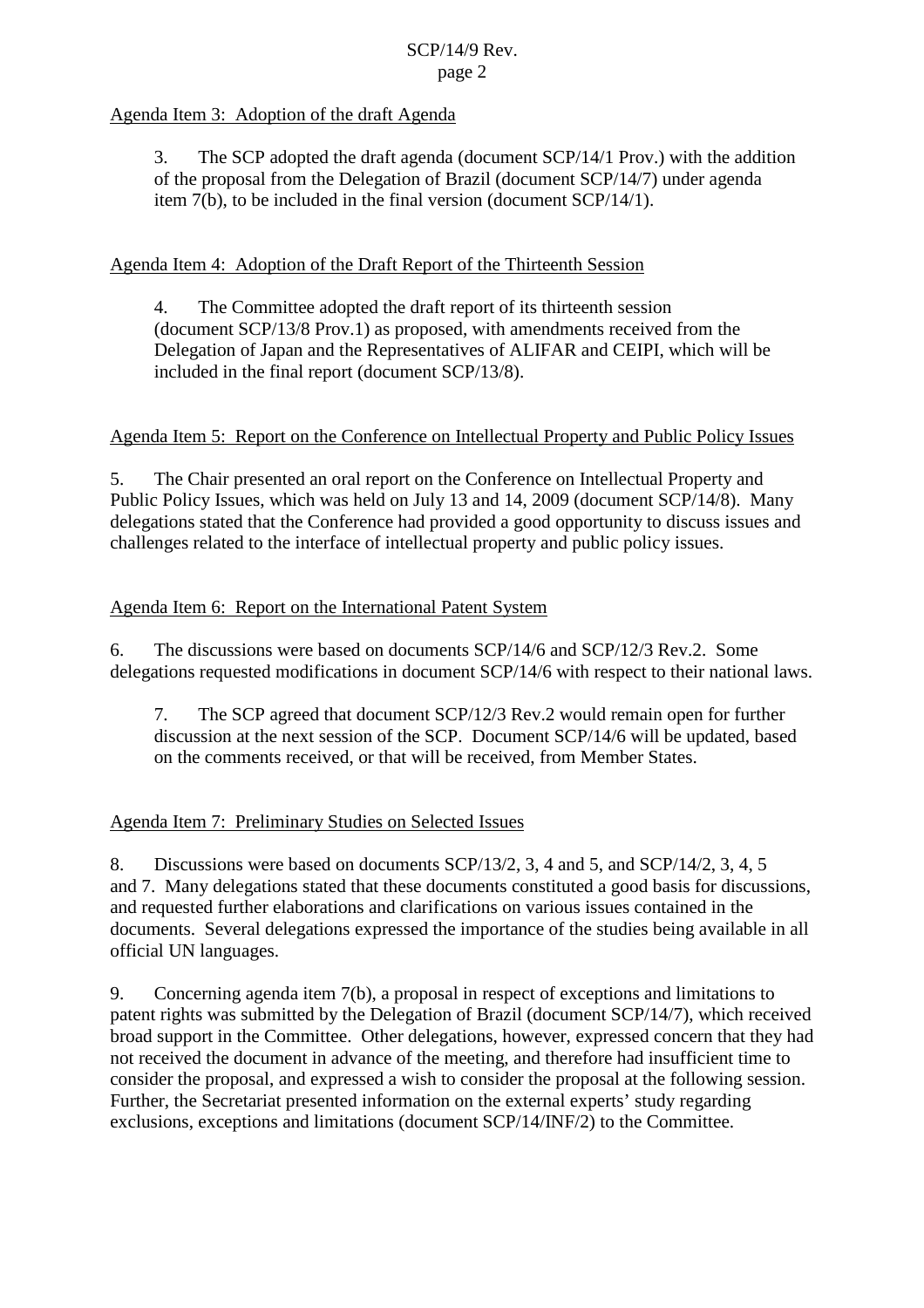# Agenda Item 3: Adoption of the draft Agenda

3. The SCP adopted the draft agenda (document SCP/14/1 Prov.) with the addition of the proposal from the Delegation of Brazil (document SCP/14/7) under agenda item 7(b), to be included in the final version (document SCP/14/1).

# Agenda Item 4: Adoption of the Draft Report of the Thirteenth Session

4. The Committee adopted the draft report of its thirteenth session (document SCP/13/8 Prov.1) as proposed, with amendments received from the Delegation of Japan and the Representatives of ALIFAR and CEIPI, which will be included in the final report (document SCP/13/8).

### Agenda Item 5: Report on the Conference on Intellectual Property and Public Policy Issues

5. The Chair presented an oral report on the Conference on Intellectual Property and Public Policy Issues, which was held on July 13 and 14, 2009 (document SCP/14/8). Many delegations stated that the Conference had provided a good opportunity to discuss issues and challenges related to the interface of intellectual property and public policy issues.

### Agenda Item 6: Report on the International Patent System

6. The discussions were based on documents SCP/14/6 and SCP/12/3 Rev.2. Some delegations requested modifications in document SCP/14/6 with respect to their national laws.

7. The SCP agreed that document SCP/12/3 Rev.2 would remain open for further discussion at the next session of the SCP. Document SCP/14/6 will be updated, based on the comments received, or that will be received, from Member States.

### Agenda Item 7: Preliminary Studies on Selected Issues

8. Discussions were based on documents SCP/13/2, 3, 4 and 5, and SCP/14/2, 3, 4, 5 and 7. Many delegations stated that these documents constituted a good basis for discussions, and requested further elaborations and clarifications on various issues contained in the documents. Several delegations expressed the importance of the studies being available in all official UN languages.

9. Concerning agenda item 7(b), a proposal in respect of exceptions and limitations to patent rights was submitted by the Delegation of Brazil (document SCP/14/7), which received broad support in the Committee. Other delegations, however, expressed concern that they had not received the document in advance of the meeting, and therefore had insufficient time to consider the proposal, and expressed a wish to consider the proposal at the following session. Further, the Secretariat presented information on the external experts' study regarding exclusions, exceptions and limitations (document SCP/14/INF/2) to the Committee.